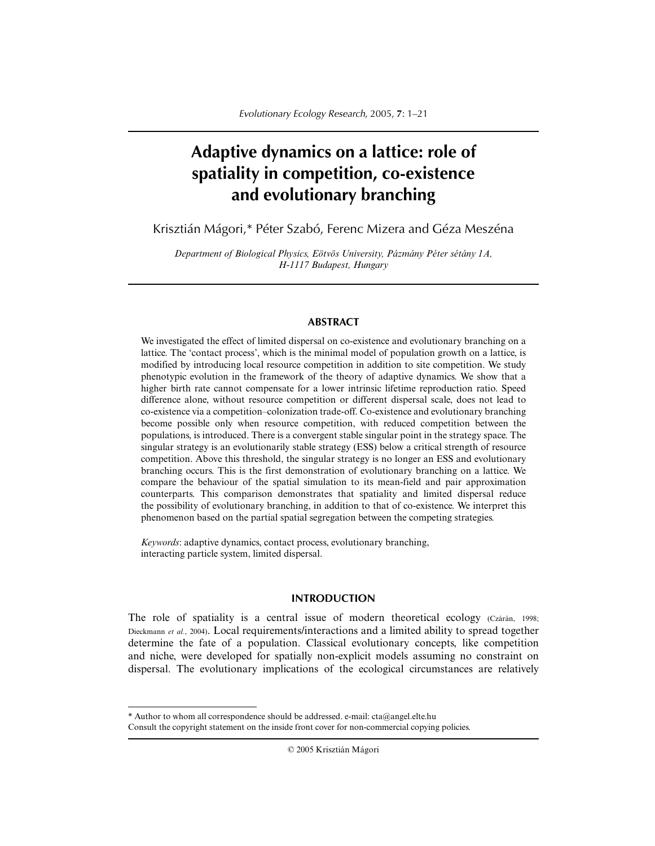# **Adaptive dynamics on a lattice: role of spatiality in competition, co-existence and evolutionary branching**

Krisztián Mágori,\* Péter Szabó, Ferenc Mizera and Géza Meszéna

*Department of Biological Physics, Eötvös University, Pázmány Péter sétány 1A, H-1117 Budapest, Hungary*

# **ABSTRACT**

We investigated the effect of limited dispersal on co-existence and evolutionary branching on a lattice. The 'contact process', which is the minimal model of population growth on a lattice, is modified by introducing local resource competition in addition to site competition. We study phenotypic evolution in the framework of the theory of adaptive dynamics. We show that a higher birth rate cannot compensate for a lower intrinsic lifetime reproduction ratio. Speed difference alone, without resource competition or different dispersal scale, does not lead to co-existence via a competition–colonization trade-off. Co-existence and evolutionary branching become possible only when resource competition, with reduced competition between the populations, is introduced. There is a convergent stable singular point in the strategy space. The singular strategy is an evolutionarily stable strategy (ESS) below a critical strength of resource competition. Above this threshold, the singular strategy is no longer an ESS and evolutionary branching occurs. This is the first demonstration of evolutionary branching on a lattice. We compare the behaviour of the spatial simulation to its mean-field and pair approximation counterparts. This comparison demonstrates that spatiality and limited dispersal reduce the possibility of evolutionary branching, in addition to that of co-existence. We interpret this phenomenon based on the partial spatial segregation between the competing strategies.

*Keywords*: adaptive dynamics, contact process, evolutionary branching, interacting particle system, limited dispersal.

# **INTRODUCTION**

The role of spatiality is a central issue of modern theoretical ecology (Czárán, 1998; Dieckmann *et al.*, 2004). Local requirements/interactions and a limited ability to spread together determine the fate of a population. Classical evolutionary concepts, like competition and niche, were developed for spatially non-explicit models assuming no constraint on dispersal. The evolutionary implications of the ecological circumstances are relatively

© 2005 Krisztián Mágori

<sup>\*</sup> Author to whom all correspondence should be addressed. e-mail: cta@angel.elte.hu Consult the copyright statement on the inside front cover for non-commercial copying policies.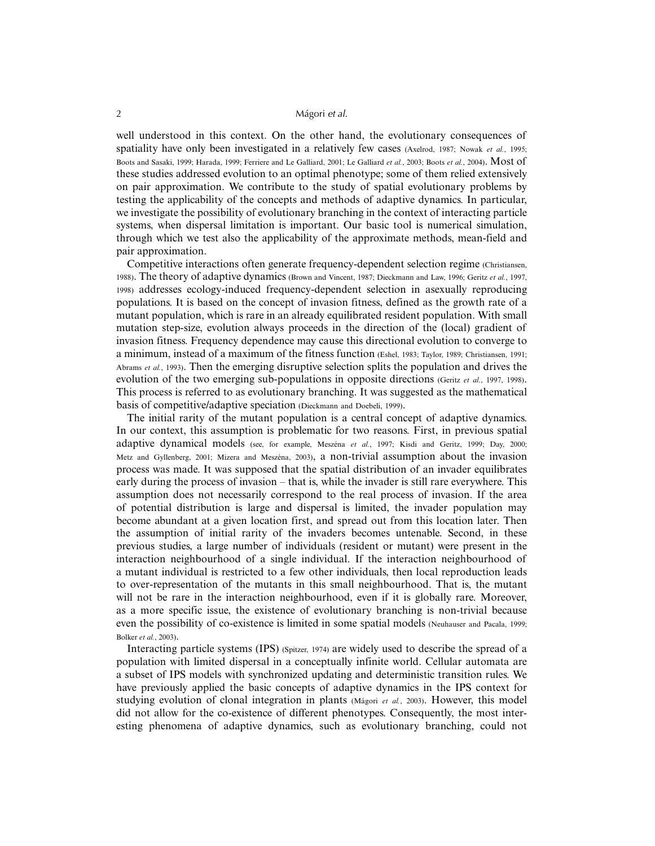well understood in this context. On the other hand, the evolutionary consequences of spatiality have only been investigated in a relatively few cases (Axelrod, 1987; Nowak *et al.*, 1995; Boots and Sasaki, 1999; Harada, 1999; Ferriere and Le Galliard, 2001; Le Galliard *et al.*, 2003; Boots *et al.*, 2004). Most of these studies addressed evolution to an optimal phenotype; some of them relied extensively on pair approximation. We contribute to the study of spatial evolutionary problems by testing the applicability of the concepts and methods of adaptive dynamics. In particular, we investigate the possibility of evolutionary branching in the context of interacting particle systems, when dispersal limitation is important. Our basic tool is numerical simulation, through which we test also the applicability of the approximate methods, mean-field and pair approximation.

Competitive interactions often generate frequency-dependent selection regime (Christiansen, 1988). The theory of adaptive dynamics (Brown and Vincent, 1987; Dieckmann and Law, 1996; Geritz *et al.*, 1997, 1998) addresses ecology-induced frequency-dependent selection in asexually reproducing populations. It is based on the concept of invasion fitness, defined as the growth rate of a mutant population, which is rare in an already equilibrated resident population. With small mutation step-size, evolution always proceeds in the direction of the (local) gradient of invasion fitness. Frequency dependence may cause this directional evolution to converge to a minimum, instead of a maximum of the fitness function (Eshel, 1983; Taylor, 1989; Christiansen, 1991; Abrams *et al.*, 1993). Then the emerging disruptive selection splits the population and drives the evolution of the two emerging sub-populations in opposite directions (Geritz *et al.*, 1997, 1998). This process is referred to as evolutionary branching. It was suggested as the mathematical basis of competitive/adaptive speciation (Dieckmann and Doebeli, 1999).

The initial rarity of the mutant population is a central concept of adaptive dynamics. In our context, this assumption is problematic for two reasons. First, in previous spatial adaptive dynamical models (see, for example, Meszéna *et al.*, 1997; Kisdi and Geritz, 1999; Day, 2000; Metz and Gyllenberg, 2001; Mizera and Meszéna, 2003), a non-trivial assumption about the invasion process was made. It was supposed that the spatial distribution of an invader equilibrates early during the process of invasion – that is, while the invader is still rare everywhere. This assumption does not necessarily correspond to the real process of invasion. If the area of potential distribution is large and dispersal is limited, the invader population may become abundant at a given location first, and spread out from this location later. Then the assumption of initial rarity of the invaders becomes untenable. Second, in these previous studies, a large number of individuals (resident or mutant) were present in the interaction neighbourhood of a single individual. If the interaction neighbourhood of a mutant individual is restricted to a few other individuals, then local reproduction leads to over-representation of the mutants in this small neighbourhood. That is, the mutant will not be rare in the interaction neighbourhood, even if it is globally rare. Moreover, as a more specific issue, the existence of evolutionary branching is non-trivial because even the possibility of co-existence is limited in some spatial models (Neuhauser and Pacala, 1999; Bolker *et al.*, 2003).

Interacting particle systems (IPS) (Spitzer, 1974) are widely used to describe the spread of a population with limited dispersal in a conceptually infinite world. Cellular automata are a subset of IPS models with synchronized updating and deterministic transition rules. We have previously applied the basic concepts of adaptive dynamics in the IPS context for studying evolution of clonal integration in plants (Mágori *et al.*, 2003). However, this model did not allow for the co-existence of different phenotypes. Consequently, the most interesting phenomena of adaptive dynamics, such as evolutionary branching, could not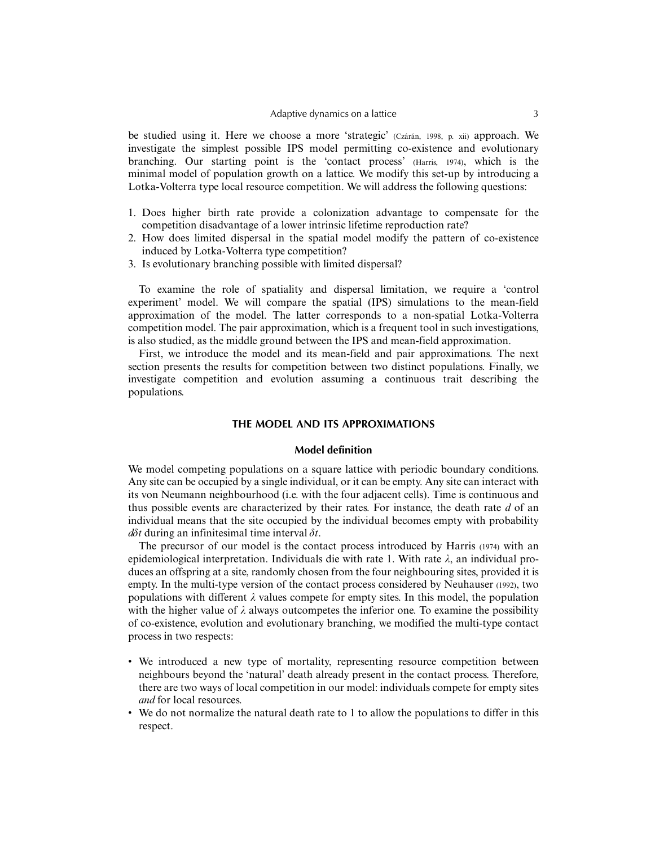#### Adaptive dynamics on a lattice 3

be studied using it. Here we choose a more 'strategic' (Czárán, 1998, p. xii) approach. We investigate the simplest possible IPS model permitting co-existence and evolutionary branching. Our starting point is the 'contact process' (Harris, 1974), which is the minimal model of population growth on a lattice. We modify this set-up by introducing a Lotka-Volterra type local resource competition. We will address the following questions:

- 1. Does higher birth rate provide a colonization advantage to compensate for the competition disadvantage of a lower intrinsic lifetime reproduction rate?
- 2. How does limited dispersal in the spatial model modify the pattern of co-existence induced by Lotka-Volterra type competition?
- 3. Is evolutionary branching possible with limited dispersal?

To examine the role of spatiality and dispersal limitation, we require a 'control experiment' model. We will compare the spatial (IPS) simulations to the mean-field approximation of the model. The latter corresponds to a non-spatial Lotka-Volterra competition model. The pair approximation, which is a frequent tool in such investigations, is also studied, as the middle ground between the IPS and mean-field approximation.

First, we introduce the model and its mean-field and pair approximations. The next section presents the results for competition between two distinct populations. Finally, we investigate competition and evolution assuming a continuous trait describing the populations.

# **THE MODEL AND ITS APPROXIMATIONS**

#### **Model definition**

We model competing populations on a square lattice with periodic boundary conditions. Any site can be occupied by a single individual, or it can be empty. Any site can interact with its von Neumann neighbourhood (i.e. with the four adjacent cells). Time is continuous and thus possible events are characterized by their rates. For instance, the death rate *d* of an individual means that the site occupied by the individual becomes empty with probability *d*δ*t* during an infinitesimal time interval δ*t*.

The precursor of our model is the contact process introduced by Harris (1974) with an epidemiological interpretation. Individuals die with rate 1. With rate  $\lambda$ , an individual produces an offspring at a site, randomly chosen from the four neighbouring sites, provided it is empty. In the multi-type version of the contact process considered by Neuhauser (1992), two populations with different  $\lambda$  values compete for empty sites. In this model, the population with the higher value of  $\lambda$  always outcompetes the inferior one. To examine the possibility of co-existence, evolution and evolutionary branching, we modified the multi-type contact process in two respects:

- We introduced a new type of mortality, representing resource competition between neighbours beyond the 'natural' death already present in the contact process. Therefore, there are two ways of local competition in our model: individuals compete for empty sites *and* for local resources.
- We do not normalize the natural death rate to 1 to allow the populations to differ in this respect.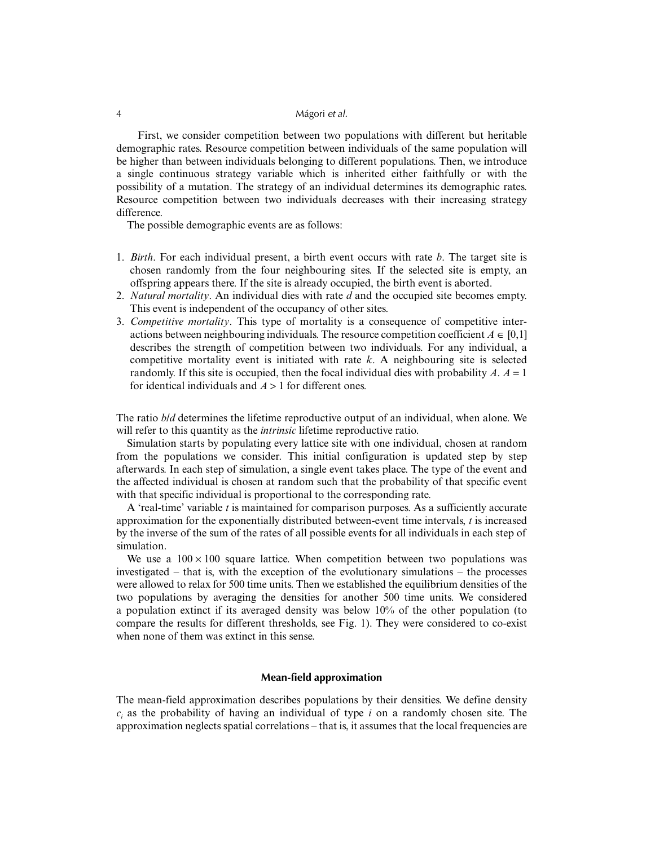First, we consider competition between two populations with different but heritable demographic rates. Resource competition between individuals of the same population will be higher than between individuals belonging to different populations. Then, we introduce a single continuous strategy variable which is inherited either faithfully or with the possibility of a mutation. The strategy of an individual determines its demographic rates. Resource competition between two individuals decreases with their increasing strategy difference.

The possible demographic events are as follows:

- 1. *Birth*. For each individual present, a birth event occurs with rate *b*. The target site is chosen randomly from the four neighbouring sites. If the selected site is empty, an offspring appears there. If the site is already occupied, the birth event is aborted.
- 2. *Natural mortality*. An individual dies with rate *d* and the occupied site becomes empty. This event is independent of the occupancy of other sites.
- 3. *Competitive mortality*. This type of mortality is a consequence of competitive interactions between neighbouring individuals. The resource competition coefficient  $A \in [0,1]$ describes the strength of competition between two individuals. For any individual, a competitive mortality event is initiated with rate *k*. A neighbouring site is selected randomly. If this site is occupied, then the focal individual dies with probability  $A$ .  $A = 1$ for identical individuals and *A* > 1 for different ones.

The ratio *b*/*d* determines the lifetime reproductive output of an individual, when alone. We will refer to this quantity as the *intrinsic* lifetime reproductive ratio.

Simulation starts by populating every lattice site with one individual, chosen at random from the populations we consider. This initial configuration is updated step by step afterwards. In each step of simulation, a single event takes place. The type of the event and the affected individual is chosen at random such that the probability of that specific event with that specific individual is proportional to the corresponding rate.

A 'real-time' variable *t* is maintained for comparison purposes. As a sufficiently accurate approximation for the exponentially distributed between-event time intervals, *t* is increased by the inverse of the sum of the rates of all possible events for all individuals in each step of simulation.

We use a  $100 \times 100$  square lattice. When competition between two populations was investigated – that is, with the exception of the evolutionary simulations – the processes were allowed to relax for 500 time units. Then we established the equilibrium densities of the two populations by averaging the densities for another 500 time units. We considered a population extinct if its averaged density was below 10% of the other population (to compare the results for different thresholds, see Fig. 1). They were considered to co-exist when none of them was extinct in this sense.

# **Mean-field approximation**

The mean-field approximation describes populations by their densities. We define density  $c_i$  as the probability of having an individual of type *i* on a randomly chosen site. The approximation neglects spatial correlations – that is, it assumes that the local frequencies are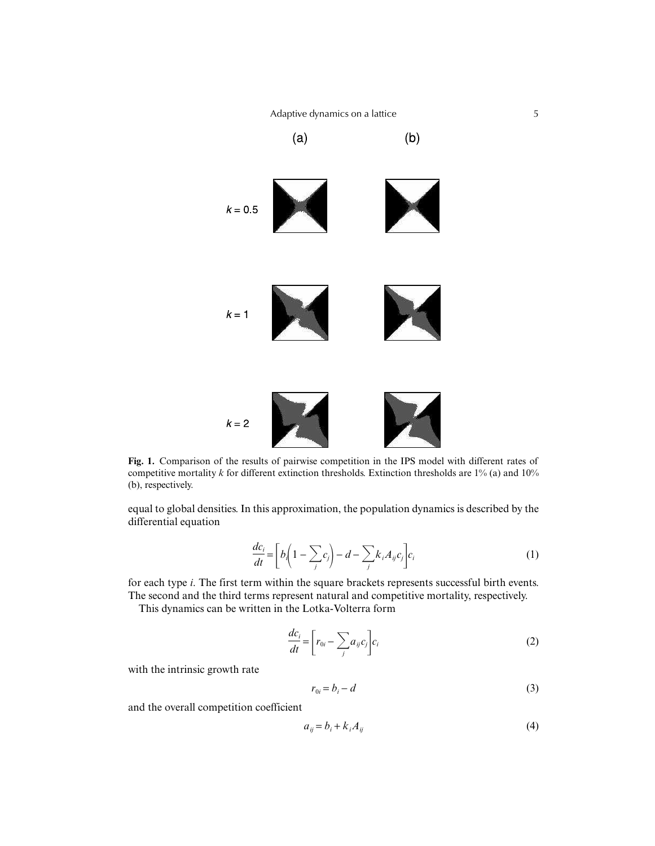

**Fig. 1.** Comparison of the results of pairwise competition in the IPS model with different rates of competitive mortality *k* for different extinction thresholds. Extinction thresholds are 1% (a) and 10% (b), respectively.

equal to global densities. In this approximation, the population dynamics is described by the differential equation

$$
\frac{dc_i}{dt} = \left[b_i\left(1 - \sum_j c_j\right) - d - \sum_j k_i A_{ij} c_j\right]c_i\tag{1}
$$

for each type *i*. The first term within the square brackets represents successful birth events. The second and the third terms represent natural and competitive mortality, respectively.

This dynamics can be written in the Lotka-Volterra form

$$
\frac{dc_i}{dt} = \left[r_{0i} - \sum_j a_{ij}c_j\right]c_i\tag{2}
$$

with the intrinsic growth rate

$$
r_{0i} = b_i - d \tag{3}
$$

and the overall competition coefficient

$$
a_{ij} = b_i + k_i A_{ij} \tag{4}
$$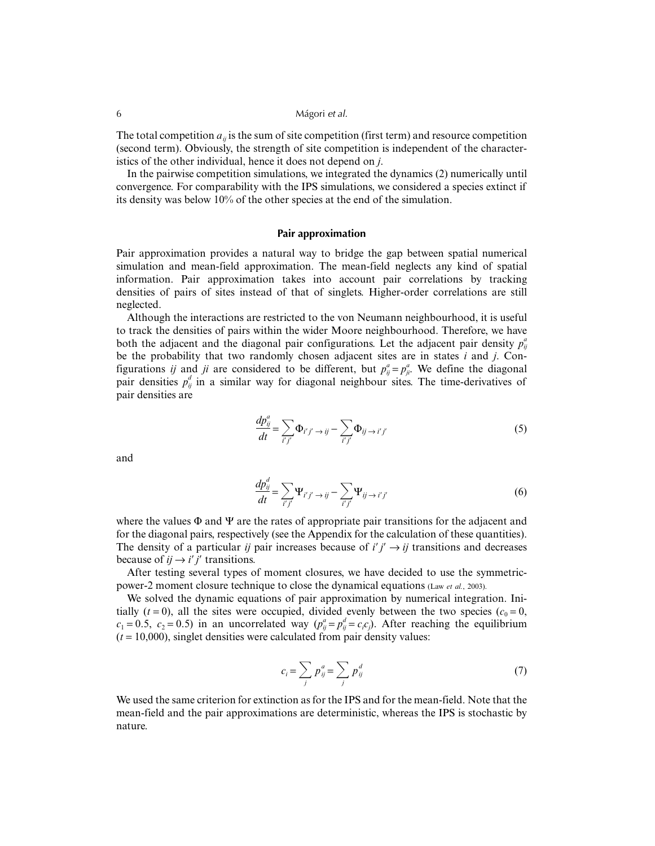The total competition  $a_{ii}$  is the sum of site competition (first term) and resource competition (second term). Obviously, the strength of site competition is independent of the characteristics of the other individual, hence it does not depend on *j*.

In the pairwise competition simulations, we integrated the dynamics (2) numerically until convergence. For comparability with the IPS simulations, we considered a species extinct if its density was below 10% of the other species at the end of the simulation.

#### **Pair approximation**

Pair approximation provides a natural way to bridge the gap between spatial numerical simulation and mean-field approximation. The mean-field neglects any kind of spatial information. Pair approximation takes into account pair correlations by tracking densities of pairs of sites instead of that of singlets. Higher-order correlations are still neglected.

Although the interactions are restricted to the von Neumann neighbourhood, it is useful to track the densities of pairs within the wider Moore neighbourhood. Therefore, we have both the adjacent and the diagonal pair configurations. Let the adjacent pair density  $p_{ij}^a$ be the probability that two randomly chosen adjacent sites are in states *i* and *j*. Configurations *ij* and *ji* are considered to be different, but  $p_{ij}^a = p_{ji}^a$ . We define the diagonal pair densities  $p_{ij}^d$  in a similar way for diagonal neighbour sites. The time-derivatives of pair densities are

$$
\frac{dp_{ij}^a}{dt} = \sum_{i'j'} \Phi_{i'j'} \rightarrow ij - \sum_{i'j'} \Phi_{ij} \rightarrow i'j' \tag{5}
$$

and

$$
\frac{dp_{ij}^d}{dt} = \sum_{i'j'} \Psi_{i'j'} \rightarrow ij - \sum_{i'j'} \Psi_{ij} \rightarrow i'j' \tag{6}
$$

where the values  $\Phi$  and  $\Psi$  are the rates of appropriate pair transitions for the adjacent and for the diagonal pairs, respectively (see the Appendix for the calculation of these quantities). The density of a particular *ij* pair increases because of  $i'j' \rightarrow ij$  transitions and decreases because of  $ij \rightarrow i'j'$  transitions.

After testing several types of moment closures, we have decided to use the symmetricpower-2 moment closure technique to close the dynamical equations (Law *et al.*, 2003).

We solved the dynamic equations of pair approximation by numerical integration. Initially  $(t = 0)$ , all the sites were occupied, divided evenly between the two species  $(c_0 = 0,$  $c_1 = 0.5$ ,  $c_2 = 0.5$ ) in an uncorrelated way  $(p_{ij}^a = p_{ij}^d = c_i c_j)$ . After reaching the equilibrium  $(t = 10,000)$ , singlet densities were calculated from pair density values:

$$
c_i = \sum_j p_{ij}^a = \sum_j p_{ij}^d \tag{7}
$$

We used the same criterion for extinction as for the IPS and for the mean-field. Note that the mean-field and the pair approximations are deterministic, whereas the IPS is stochastic by nature.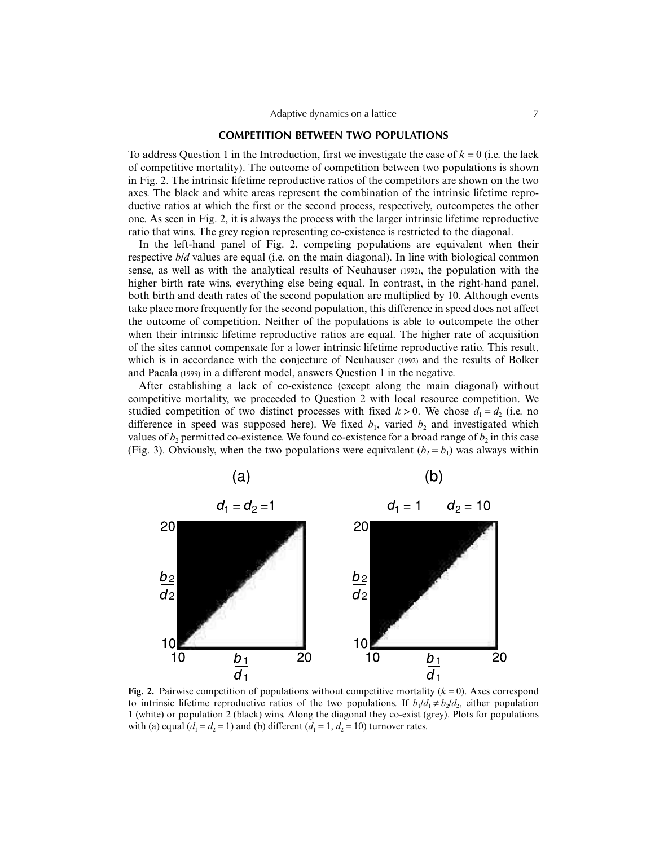# **COMPETITION BETWEEN TWO POPULATIONS**

To address Question 1 in the Introduction, first we investigate the case of  $k = 0$  (i.e. the lack of competitive mortality). The outcome of competition between two populations is shown in Fig. 2. The intrinsic lifetime reproductive ratios of the competitors are shown on the two axes. The black and white areas represent the combination of the intrinsic lifetime reproductive ratios at which the first or the second process, respectively, outcompetes the other one. As seen in Fig. 2, it is always the process with the larger intrinsic lifetime reproductive ratio that wins. The grey region representing co-existence is restricted to the diagonal.

In the left-hand panel of Fig. 2, competing populations are equivalent when their respective *b/d* values are equal (i.e. on the main diagonal). In line with biological common sense, as well as with the analytical results of Neuhauser (1992), the population with the higher birth rate wins, everything else being equal. In contrast, in the right-hand panel, both birth and death rates of the second population are multiplied by 10. Although events take place more frequently for the second population, this difference in speed does not affect the outcome of competition. Neither of the populations is able to outcompete the other when their intrinsic lifetime reproductive ratios are equal. The higher rate of acquisition of the sites cannot compensate for a lower intrinsic lifetime reproductive ratio. This result, which is in accordance with the conjecture of Neuhauser (1992) and the results of Bolker and Pacala (1999) in a different model, answers Question 1 in the negative.

After establishing a lack of co-existence (except along the main diagonal) without competitive mortality, we proceeded to Question 2 with local resource competition. We studied competition of two distinct processes with fixed  $k > 0$ . We chose  $d_1 = d_2$  (i.e. no difference in speed was supposed here). We fixed  $b_1$ , varied  $b_2$  and investigated which values of  $b_2$  permitted co-existence. We found co-existence for a broad range of  $b_2$  in this case (Fig. 3). Obviously, when the two populations were equivalent  $(b_2 = b_1)$  was always within



**Fig. 2.** Pairwise competition of populations without competitive mortality  $(k = 0)$ . Axes correspond to intrinsic lifetime reproductive ratios of the two populations. If  $b_1/d_1 \neq b_2/d_2$ , either population 1 (white) or population 2 (black) wins. Along the diagonal they co-exist (grey). Plots for populations with (a) equal  $(d_1 = d_2 = 1)$  and (b) different  $(d_1 = 1, d_2 = 10)$  turnover rates.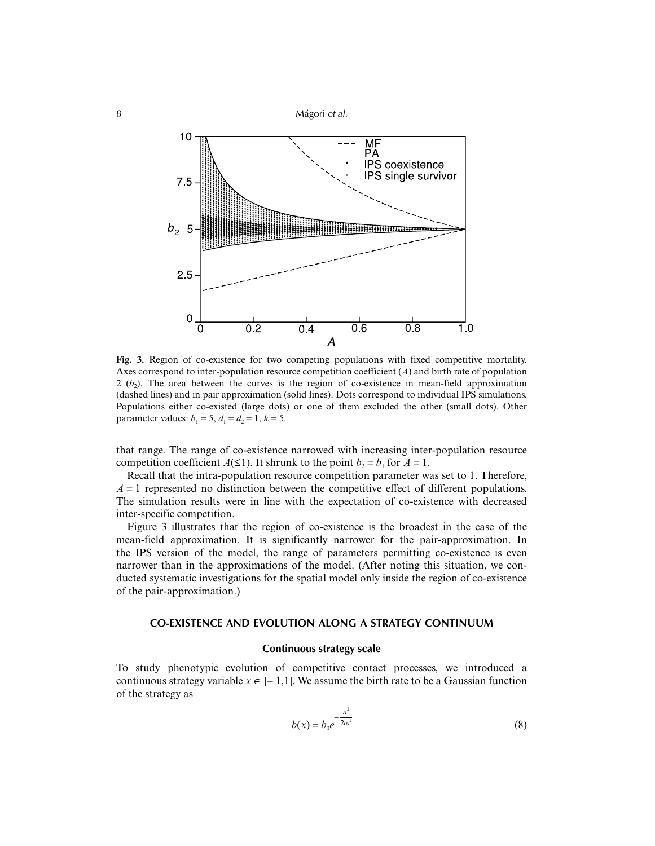

**Fig. 3.** Region of co-existence for two competing populations with fixed competitive mortality. Axes correspond to inter-population resource competition coefficient (*A*) and birth rate of population  $2 (b)$ . The area between the curves is the region of co-existence in mean-field approximation (dashed lines) and in pair approximation (solid lines). Dots correspond to individual IPS simulations. Populations either co-existed (large dots) or one of them excluded the other (small dots). Other parameter values:  $b_1 = 5$ ,  $d_1 = d_2 = 1$ ,  $k = 5$ .

that range. The range of co-existence narrowed with increasing inter-population resource competition coefficient *A*(≤1). It shrunk to the point *b*<sub>2</sub> = *b*<sub>1</sub> for *A* = 1.

Recall that the intra-population resource competition parameter was set to 1. Therefore,  $A = 1$  represented no distinction between the competitive effect of different populations. The simulation results were in line with the expectation of co-existence with decreased inter-specific competition.

Figure 3 illustrates that the region of co-existence is the broadest in the case of the mean-field approximation. It is significantly narrower for the pair-approximation. In the IPS version of the model, the range of parameters permitting co-existence is even narrower than in the approximations of the model. (After noting this situation, we conducted systematic investigations for the spatial model only inside the region of co-existence of the pair-approximation.)

# **CO-EXISTENCE AND EVOLUTION ALONG A STRATEGY CONTINUUM**

# **Continuous strategy scale**

To study phenotypic evolution of competitive contact processes, we introduced a continuous strategy variable  $x \in [-1,1]$ . We assume the birth rate to be a Gaussian function of the strategy as

$$
b(x) = b_0 e^{-\frac{x^2}{2\omega^2}}
$$
 (8)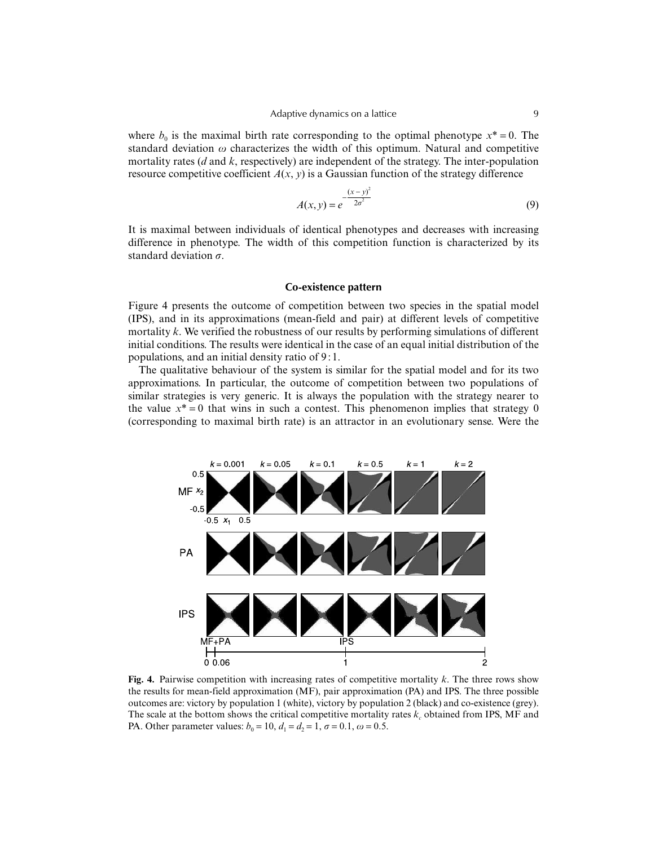where  $b_0$  is the maximal birth rate corresponding to the optimal phenotype  $x^* = 0$ . The standard deviation  $\omega$  characterizes the width of this optimum. Natural and competitive mortality rates (*d* and *k*, respectively) are independent of the strategy. The inter-population resource competitive coefficient  $A(x, y)$  is a Gaussian function of the strategy difference

$$
A(x, y) = e^{-\frac{(x - y)^2}{2\sigma^2}}
$$
\n(9)

It is maximal between individuals of identical phenotypes and decreases with increasing difference in phenotype. The width of this competition function is characterized by its standard deviation  $\sigma$ .

#### **Co-existence pattern**

Figure 4 presents the outcome of competition between two species in the spatial model (IPS), and in its approximations (mean-field and pair) at different levels of competitive mortality *k*. We verified the robustness of our results by performing simulations of different initial conditions. The results were identical in the case of an equal initial distribution of the populations, and an initial density ratio of 9 : 1.

The qualitative behaviour of the system is similar for the spatial model and for its two approximations. In particular, the outcome of competition between two populations of similar strategies is very generic. It is always the population with the strategy nearer to the value  $x^* = 0$  that wins in such a contest. This phenomenon implies that strategy 0 (corresponding to maximal birth rate) is an attractor in an evolutionary sense. Were the



**Fig. 4.** Pairwise competition with increasing rates of competitive mortality *k*. The three rows show the results for mean-field approximation (MF), pair approximation (PA) and IPS. The three possible outcomes are: victory by population 1 (white), victory by population 2 (black) and co-existence (grey). The scale at the bottom shows the critical competitive mortality rates  $k_c$  obtained from IPS, MF and PA. Other parameter values:  $b_0 = 10$ ,  $d_1 = d_2 = 1$ ,  $\sigma = 0.1$ ,  $\omega = 0.5$ .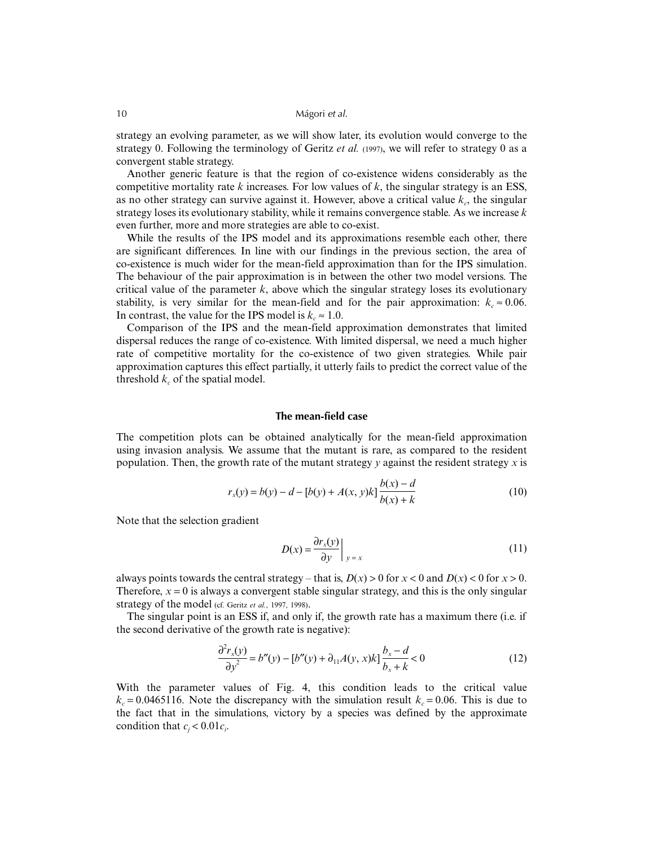strategy an evolving parameter, as we will show later, its evolution would converge to the strategy 0. Following the terminology of Geritz *et al.* (1997), we will refer to strategy 0 as a convergent stable strategy.

Another generic feature is that the region of co-existence widens considerably as the competitive mortality rate  $k$  increases. For low values of  $k$ , the singular strategy is an ESS, as no other strategy can survive against it. However, above a critical value  $k<sub>n</sub>$ , the singular strategy loses its evolutionary stability, while it remains convergence stable. As we increase *k* even further, more and more strategies are able to co-exist.

While the results of the IPS model and its approximations resemble each other, there are significant differences. In line with our findings in the previous section, the area of co-existence is much wider for the mean-field approximation than for the IPS simulation. The behaviour of the pair approximation is in between the other two model versions. The critical value of the parameter  $k$ , above which the singular strategy loses its evolutionary stability, is very similar for the mean-field and for the pair approximation:  $k_c \approx 0.06$ . In contrast, the value for the IPS model is  $k_c \approx 1.0$ .

Comparison of the IPS and the mean-field approximation demonstrates that limited dispersal reduces the range of co-existence. With limited dispersal, we need a much higher rate of competitive mortality for the co-existence of two given strategies. While pair approximation captures this effect partially, it utterly fails to predict the correct value of the threshold  $k_c$  of the spatial model.

# **The mean-field case**

The competition plots can be obtained analytically for the mean-field approximation using invasion analysis. We assume that the mutant is rare, as compared to the resident population. Then, the growth rate of the mutant strategy *y* against the resident strategy *x* is

$$
r_x(y) = b(y) - d - [b(y) + A(x, y)k] \frac{b(x) - d}{b(x) + k}
$$
 (10)

Note that the selection gradient

$$
D(x) = \frac{\partial r_x(y)}{\partial y}\Big|_{y=x}
$$
 (11)

always points towards the central strategy – that is,  $D(x) > 0$  for  $x < 0$  and  $D(x) < 0$  for  $x > 0$ . Therefore,  $x = 0$  is always a convergent stable singular strategy, and this is the only singular strategy of the model (cf. Geritz *et al.*, 1997, 1998).

The singular point is an ESS if, and only if, the growth rate has a maximum there (i.e. if the second derivative of the growth rate is negative):

$$
\frac{\partial^2 r_x(y)}{\partial y^2} = b''(y) - [b''(y) + \partial_{11} A(y, x)k] \frac{b_x - d}{b_x + k} < 0
$$
\n(12)

With the parameter values of Fig. 4, this condition leads to the critical value  $k_c = 0.0465116$ . Note the discrepancy with the simulation result  $k_c = 0.06$ . This is due to the fact that in the simulations, victory by a species was defined by the approximate condition that  $c_j < 0.01c_i$ .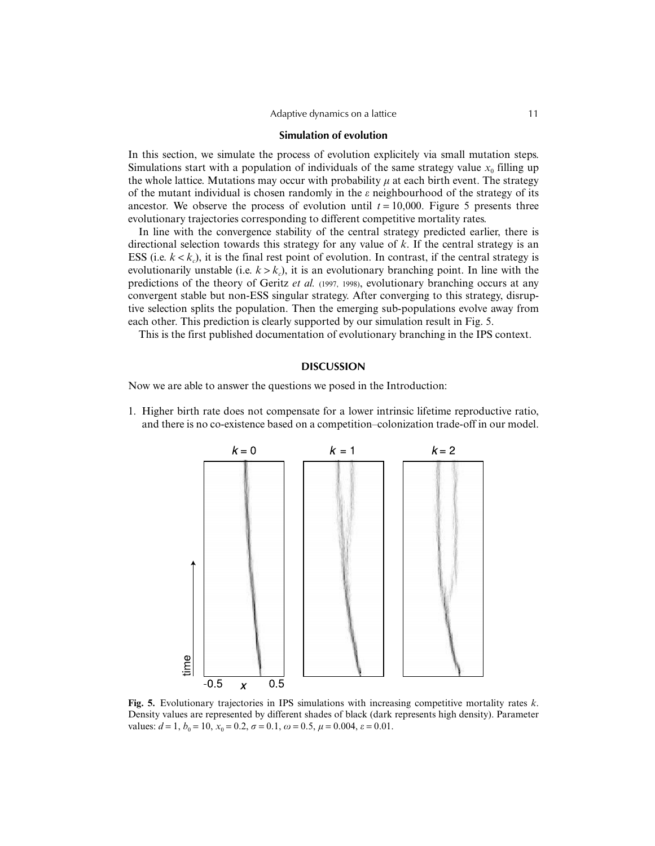#### Adaptive dynamics on a lattice 11

#### **Simulation of evolution**

In this section, we simulate the process of evolution explicitely via small mutation steps. Simulations start with a population of individuals of the same strategy value  $x_0$  filling up the whole lattice. Mutations may occur with probability  $\mu$  at each birth event. The strategy of the mutant individual is chosen randomly in the  $\varepsilon$  neighbourhood of the strategy of its ancestor. We observe the process of evolution until  $t = 10,000$ . Figure 5 presents three evolutionary trajectories corresponding to different competitive mortality rates.

In line with the convergence stability of the central strategy predicted earlier, there is directional selection towards this strategy for any value of *k*. If the central strategy is an ESS (i.e.  $k < k_c$ ), it is the final rest point of evolution. In contrast, if the central strategy is evolutionarily unstable (i.e.  $k > k_c$ ), it is an evolutionary branching point. In line with the predictions of the theory of Geritz *et al.* (1997, 1998), evolutionary branching occurs at any convergent stable but non-ESS singular strategy. After converging to this strategy, disruptive selection splits the population. Then the emerging sub-populations evolve away from each other. This prediction is clearly supported by our simulation result in Fig. 5.

This is the first published documentation of evolutionary branching in the IPS context.

#### **DISCUSSION**

Now we are able to answer the questions we posed in the Introduction:

1. Higher birth rate does not compensate for a lower intrinsic lifetime reproductive ratio, and there is no co-existence based on a competition–colonization trade-off in our model.



**Fig. 5.** Evolutionary trajectories in IPS simulations with increasing competitive mortality rates *k*. Density values are represented by different shades of black (dark represents high density). Parameter values:  $d = 1$ ,  $b_0 = 10$ ,  $x_0 = 0.2$ ,  $\sigma = 0.1$ ,  $\omega = 0.5$ ,  $\mu = 0.004$ ,  $\varepsilon = 0.01$ .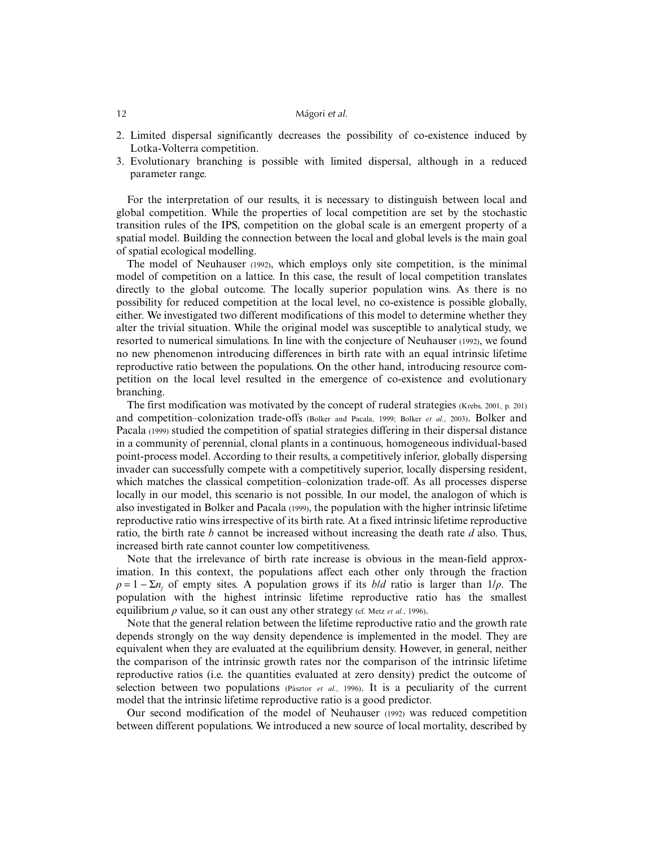- 2. Limited dispersal significantly decreases the possibility of co-existence induced by Lotka-Volterra competition.
- 3. Evolutionary branching is possible with limited dispersal, although in a reduced parameter range.

For the interpretation of our results, it is necessary to distinguish between local and global competition. While the properties of local competition are set by the stochastic transition rules of the IPS, competition on the global scale is an emergent property of a spatial model. Building the connection between the local and global levels is the main goal of spatial ecological modelling.

The model of Neuhauser (1992), which employs only site competition, is the minimal model of competition on a lattice. In this case, the result of local competition translates directly to the global outcome. The locally superior population wins. As there is no possibility for reduced competition at the local level, no co-existence is possible globally, either. We investigated two different modifications of this model to determine whether they alter the trivial situation. While the original model was susceptible to analytical study, we resorted to numerical simulations. In line with the conjecture of Neuhauser (1992), we found no new phenomenon introducing differences in birth rate with an equal intrinsic lifetime reproductive ratio between the populations. On the other hand, introducing resource competition on the local level resulted in the emergence of co-existence and evolutionary branching.

The first modification was motivated by the concept of ruderal strategies (Krebs, 2001, p. 201) and competition–colonization trade-offs (Bolker and Pacala, 1999; Bolker *et al.*, 2003). Bolker and Pacala (1999) studied the competition of spatial strategies differing in their dispersal distance in a community of perennial, clonal plants in a continuous, homogeneous individual-based point-process model. According to their results, a competitively inferior, globally dispersing invader can successfully compete with a competitively superior, locally dispersing resident, which matches the classical competition–colonization trade-off. As all processes disperse locally in our model, this scenario is not possible. In our model, the analogon of which is also investigated in Bolker and Pacala (1999), the population with the higher intrinsic lifetime reproductive ratio wins irrespective of its birth rate. At a fixed intrinsic lifetime reproductive ratio, the birth rate *b* cannot be increased without increasing the death rate *d* also. Thus, increased birth rate cannot counter low competitiveness.

Note that the irrelevance of birth rate increase is obvious in the mean-field approximation. In this context, the populations affect each other only through the fraction  $\rho = 1 - \Sigma n_j$  of empty sites. A population grows if its *b/d* ratio is larger than  $1/\rho$ . The population with the highest intrinsic lifetime reproductive ratio has the smallest equilibrium  $\rho$  value, so it can oust any other strategy (cf. Metz *et al.*, 1996).

Note that the general relation between the lifetime reproductive ratio and the growth rate depends strongly on the way density dependence is implemented in the model. They are equivalent when they are evaluated at the equilibrium density. However, in general, neither the comparison of the intrinsic growth rates nor the comparison of the intrinsic lifetime reproductive ratios (i.e. the quantities evaluated at zero density) predict the outcome of selection between two populations (Pásztor *et al.*, 1996). It is a peculiarity of the current model that the intrinsic lifetime reproductive ratio is a good predictor.

Our second modification of the model of Neuhauser (1992) was reduced competition between different populations. We introduced a new source of local mortality, described by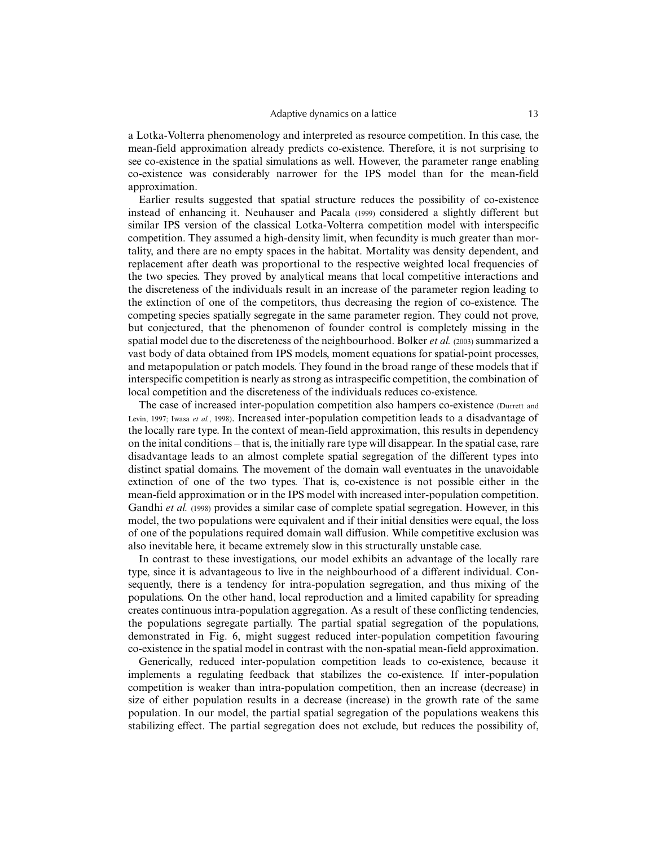#### Adaptive dynamics on a lattice 13

a Lotka-Volterra phenomenology and interpreted as resource competition. In this case, the mean-field approximation already predicts co-existence. Therefore, it is not surprising to see co-existence in the spatial simulations as well. However, the parameter range enabling co-existence was considerably narrower for the IPS model than for the mean-field approximation.

Earlier results suggested that spatial structure reduces the possibility of co-existence instead of enhancing it. Neuhauser and Pacala (1999) considered a slightly different but similar IPS version of the classical Lotka-Volterra competition model with interspecific competition. They assumed a high-density limit, when fecundity is much greater than mortality, and there are no empty spaces in the habitat. Mortality was density dependent, and replacement after death was proportional to the respective weighted local frequencies of the two species. They proved by analytical means that local competitive interactions and the discreteness of the individuals result in an increase of the parameter region leading to the extinction of one of the competitors, thus decreasing the region of co-existence. The competing species spatially segregate in the same parameter region. They could not prove, but conjectured, that the phenomenon of founder control is completely missing in the spatial model due to the discreteness of the neighbourhood. Bolker *et al.* (2003) summarized a vast body of data obtained from IPS models, moment equations for spatial-point processes, and metapopulation or patch models. They found in the broad range of these models that if interspecific competition is nearly as strong as intraspecific competition, the combination of local competition and the discreteness of the individuals reduces co-existence.

The case of increased inter-population competition also hampers co-existence (Durrett and Levin, 1997; Iwasa *et al.*, 1998). Increased inter-population competition leads to a disadvantage of the locally rare type. In the context of mean-field approximation, this results in dependency on the inital conditions – that is, the initially rare type will disappear. In the spatial case, rare disadvantage leads to an almost complete spatial segregation of the different types into distinct spatial domains. The movement of the domain wall eventuates in the unavoidable extinction of one of the two types. That is, co-existence is not possible either in the mean-field approximation or in the IPS model with increased inter-population competition. Gandhi *et al.* (1998) provides a similar case of complete spatial segregation. However, in this model, the two populations were equivalent and if their initial densities were equal, the loss of one of the populations required domain wall diffusion. While competitive exclusion was also inevitable here, it became extremely slow in this structurally unstable case.

In contrast to these investigations, our model exhibits an advantage of the locally rare type, since it is advantageous to live in the neighbourhood of a different individual. Consequently, there is a tendency for intra-population segregation, and thus mixing of the populations. On the other hand, local reproduction and a limited capability for spreading creates continuous intra-population aggregation. As a result of these conflicting tendencies, the populations segregate partially. The partial spatial segregation of the populations, demonstrated in Fig. 6, might suggest reduced inter-population competition favouring co-existence in the spatial model in contrast with the non-spatial mean-field approximation.

Generically, reduced inter-population competition leads to co-existence, because it implements a regulating feedback that stabilizes the co-existence. If inter-population competition is weaker than intra-population competition, then an increase (decrease) in size of either population results in a decrease (increase) in the growth rate of the same population. In our model, the partial spatial segregation of the populations weakens this stabilizing effect. The partial segregation does not exclude, but reduces the possibility of,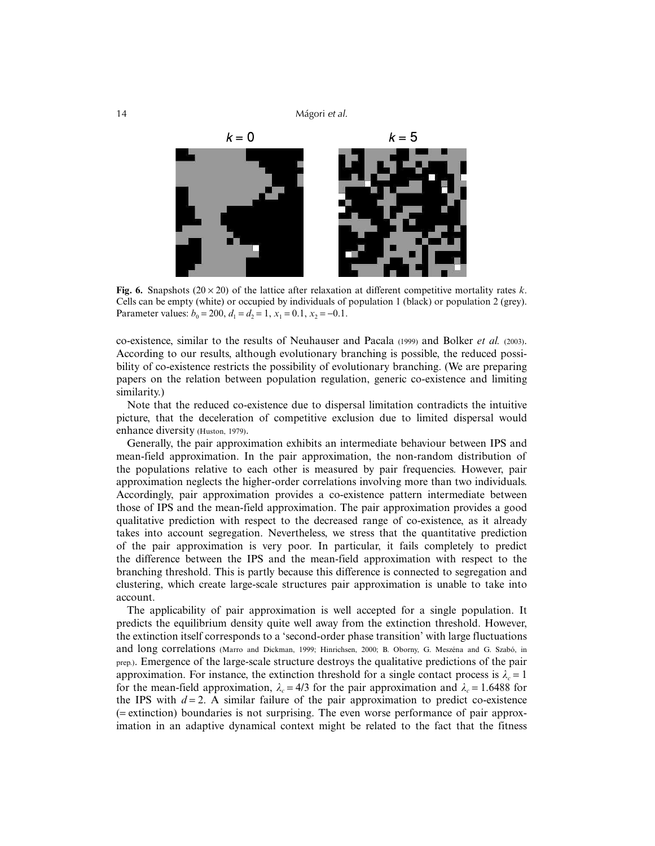

**Fig. 6.** Snapshots ( $20 \times 20$ ) of the lattice after relaxation at different competitive mortality rates *k*. Cells can be empty (white) or occupied by individuals of population 1 (black) or population 2 (grey). Parameter values:  $b_0 = 200$ ,  $d_1 = d_2 = 1$ ,  $x_1 = 0.1$ ,  $x_2 = -0.1$ .

co-existence, similar to the results of Neuhauser and Pacala (1999) and Bolker *et al.* (2003). According to our results, although evolutionary branching is possible, the reduced possibility of co-existence restricts the possibility of evolutionary branching. (We are preparing papers on the relation between population regulation, generic co-existence and limiting similarity.)

Note that the reduced co-existence due to dispersal limitation contradicts the intuitive picture, that the deceleration of competitive exclusion due to limited dispersal would enhance diversity (Huston, 1979).

Generally, the pair approximation exhibits an intermediate behaviour between IPS and mean-field approximation. In the pair approximation, the non-random distribution of the populations relative to each other is measured by pair frequencies. However, pair approximation neglects the higher-order correlations involving more than two individuals. Accordingly, pair approximation provides a co-existence pattern intermediate between those of IPS and the mean-field approximation. The pair approximation provides a good qualitative prediction with respect to the decreased range of co-existence, as it already takes into account segregation. Nevertheless, we stress that the quantitative prediction of the pair approximation is very poor. In particular, it fails completely to predict the difference between the IPS and the mean-field approximation with respect to the branching threshold. This is partly because this difference is connected to segregation and clustering, which create large-scale structures pair approximation is unable to take into account.

The applicability of pair approximation is well accepted for a single population. It predicts the equilibrium density quite well away from the extinction threshold. However, the extinction itself corresponds to a 'second-order phase transition' with large fluctuations and long correlations (Marro and Dickman, 1999; Hinrichsen, 2000; B. Oborny, G. Meszéna and G. Szabó, in prep.). Emergence of the large-scale structure destroys the qualitative predictions of the pair approximation. For instance, the extinction threshold for a single contact process is  $\lambda_c = 1$ for the mean-field approximation,  $\lambda_c = 4/3$  for the pair approximation and  $\lambda_c = 1.6488$  for the IPS with  $d = 2$ . A similar failure of the pair approximation to predict co-existence (= extinction) boundaries is not surprising. The even worse performance of pair approximation in an adaptive dynamical context might be related to the fact that the fitness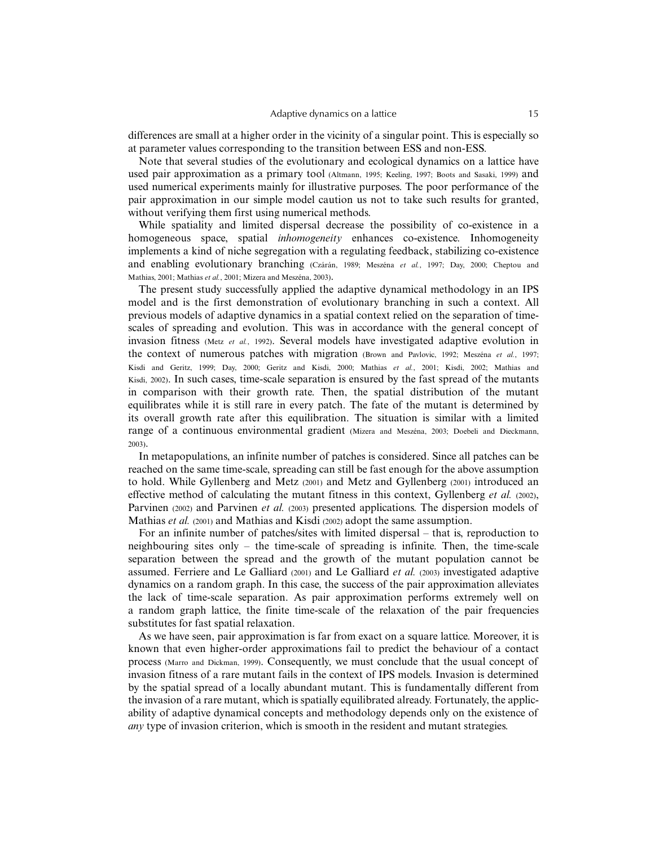differences are small at a higher order in the vicinity of a singular point. This is especially so at parameter values corresponding to the transition between ESS and non-ESS.

Note that several studies of the evolutionary and ecological dynamics on a lattice have used pair approximation as a primary tool (Altmann, 1995; Keeling, 1997; Boots and Sasaki, 1999) and used numerical experiments mainly for illustrative purposes. The poor performance of the pair approximation in our simple model caution us not to take such results for granted, without verifying them first using numerical methods.

While spatiality and limited dispersal decrease the possibility of co-existence in a homogeneous space, spatial *inhomogeneity* enhances co-existence. Inhomogeneity implements a kind of niche segregation with a regulating feedback, stabilizing co-existence and enabling evolutionary branching (Czárán, 1989; Meszéna *et al.*, 1997; Day, 2000; Cheptou and Mathias, 2001; Mathias *et al.*, 2001; Mizera and Meszéna, 2003).

The present study successfully applied the adaptive dynamical methodology in an IPS model and is the first demonstration of evolutionary branching in such a context. All previous models of adaptive dynamics in a spatial context relied on the separation of timescales of spreading and evolution. This was in accordance with the general concept of invasion fitness (Metz *et al.*, 1992). Several models have investigated adaptive evolution in the context of numerous patches with migration (Brown and Pavlovic, 1992; Meszéna *et al.*, 1997; Kisdi and Geritz, 1999; Day, 2000; Geritz and Kisdi, 2000; Mathias *et al.*, 2001; Kisdi, 2002; Mathias and Kisdi, 2002). In such cases, time-scale separation is ensured by the fast spread of the mutants in comparison with their growth rate. Then, the spatial distribution of the mutant equilibrates while it is still rare in every patch. The fate of the mutant is determined by its overall growth rate after this equilibration. The situation is similar with a limited range of a continuous environmental gradient (Mizera and Meszéna, 2003; Doebeli and Dieckmann, 2003).

In metapopulations, an infinite number of patches is considered. Since all patches can be reached on the same time-scale, spreading can still be fast enough for the above assumption to hold. While Gyllenberg and Metz (2001) and Metz and Gyllenberg (2001) introduced an effective method of calculating the mutant fitness in this context, Gyllenberg *et al.* (2002), Parvinen (2002) and Parvinen *et al.* (2003) presented applications. The dispersion models of Mathias *et al.* (2001) and Mathias and Kisdi (2002) adopt the same assumption.

For an infinite number of patches/sites with limited dispersal – that is, reproduction to neighbouring sites only – the time-scale of spreading is infinite. Then, the time-scale separation between the spread and the growth of the mutant population cannot be assumed. Ferriere and Le Galliard (2001) and Le Galliard *et al.* (2003) investigated adaptive dynamics on a random graph. In this case, the success of the pair approximation alleviates the lack of time-scale separation. As pair approximation performs extremely well on a random graph lattice, the finite time-scale of the relaxation of the pair frequencies substitutes for fast spatial relaxation.

As we have seen, pair approximation is far from exact on a square lattice. Moreover, it is known that even higher-order approximations fail to predict the behaviour of a contact process (Marro and Dickman, 1999). Consequently, we must conclude that the usual concept of invasion fitness of a rare mutant fails in the context of IPS models. Invasion is determined by the spatial spread of a locally abundant mutant. This is fundamentally different from the invasion of a rare mutant, which is spatially equilibrated already. Fortunately, the applicability of adaptive dynamical concepts and methodology depends only on the existence of *any* type of invasion criterion, which is smooth in the resident and mutant strategies.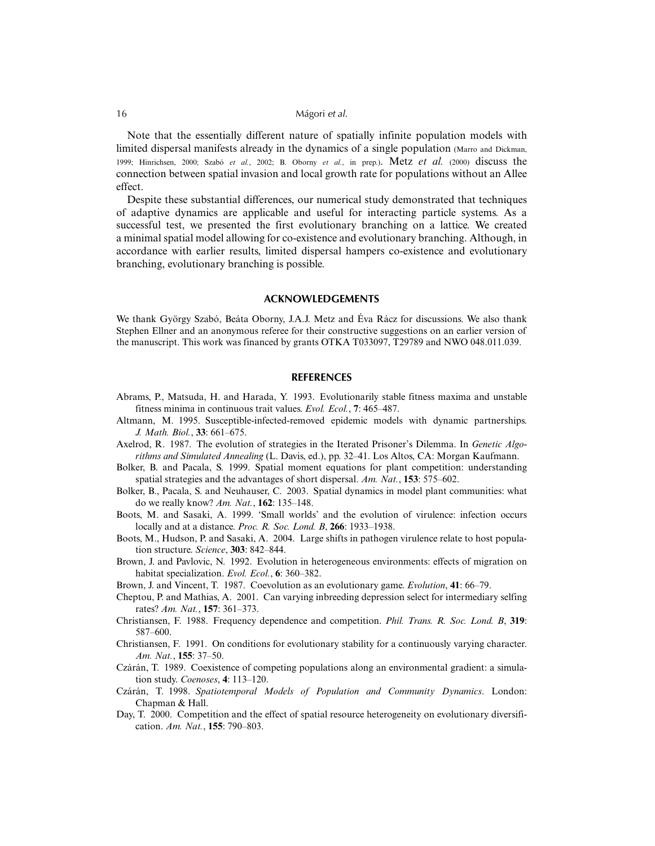Note that the essentially different nature of spatially infinite population models with limited dispersal manifests already in the dynamics of a single population (Marro and Dickman, 1999; Hinrichsen, 2000; Szabó *et al.*, 2002; B. Oborny *et al.*, in prep.). Metz *et al.* (2000) discuss the connection between spatial invasion and local growth rate for populations without an Allee effect.

Despite these substantial differences, our numerical study demonstrated that techniques of adaptive dynamics are applicable and useful for interacting particle systems. As a successful test, we presented the first evolutionary branching on a lattice. We created a minimal spatial model allowing for co-existence and evolutionary branching. Although, in accordance with earlier results, limited dispersal hampers co-existence and evolutionary branching, evolutionary branching is possible.

#### **ACKNOWLEDGEMENTS**

We thank György Szabó, Beáta Oborny, J.A.J. Metz and Éva Rácz for discussions. We also thank Stephen Ellner and an anonymous referee for their constructive suggestions on an earlier version of the manuscript. This work was financed by grants OTKA T033097, T29789 and NWO 048.011.039.

#### **REFERENCES**

- Abrams, P., Matsuda, H. and Harada, Y. 1993. Evolutionarily stable fitness maxima and unstable fitness minima in continuous trait values. *Evol. Ecol.*, **7**: 465–487.
- Altmann, M. 1995. Susceptible-infected-removed epidemic models with dynamic partnerships. *J. Math. Biol.*, **33**: 661–675.
- Axelrod, R. 1987. The evolution of strategies in the Iterated Prisoner's Dilemma. In *Genetic Algorithms and Simulated Annealing* (L. Davis, ed.), pp. 32–41. Los Altos, CA: Morgan Kaufmann.
- Bolker, B. and Pacala, S. 1999. Spatial moment equations for plant competition: understanding spatial strategies and the advantages of short dispersal. *Am. Nat.*, **153**: 575–602.
- Bolker, B., Pacala, S. and Neuhauser, C. 2003. Spatial dynamics in model plant communities: what do we really know? *Am. Nat.*, **162**: 135–148.
- Boots, M. and Sasaki, A. 1999. 'Small worlds' and the evolution of virulence: infection occurs locally and at a distance. *Proc. R. Soc. Lond. B*, **266**: 1933–1938.
- Boots, M., Hudson, P. and Sasaki, A. 2004. Large shifts in pathogen virulence relate to host population structure. *Science*, **303**: 842–844.
- Brown, J. and Pavlovic, N. 1992. Evolution in heterogeneous environments: effects of migration on habitat specialization. *Evol. Ecol.*, **6**: 360–382.
- Brown, J. and Vincent, T. 1987. Coevolution as an evolutionary game. *Evolution*, **41**: 66–79.
- Cheptou, P. and Mathias, A. 2001. Can varying inbreeding depression select for intermediary selfing rates? *Am. Nat.*, **157**: 361–373.
- Christiansen, F. 1988. Frequency dependence and competition. *Phil. Trans. R. Soc. Lond. B*, **319**: 587–600.
- Christiansen, F. 1991. On conditions for evolutionary stability for a continuously varying character. *Am. Nat.*, **155**: 37–50.
- Czárán, T. 1989. Coexistence of competing populations along an environmental gradient: a simulation study. *Coenoses*, **4**: 113–120.
- Czárán, T. 1998. *Spatiotemporal Models of Population and Community Dynamics*. London: Chapman & Hall.
- Day, T. 2000. Competition and the effect of spatial resource heterogeneity on evolutionary diversification. *Am. Nat.*, **155**: 790–803.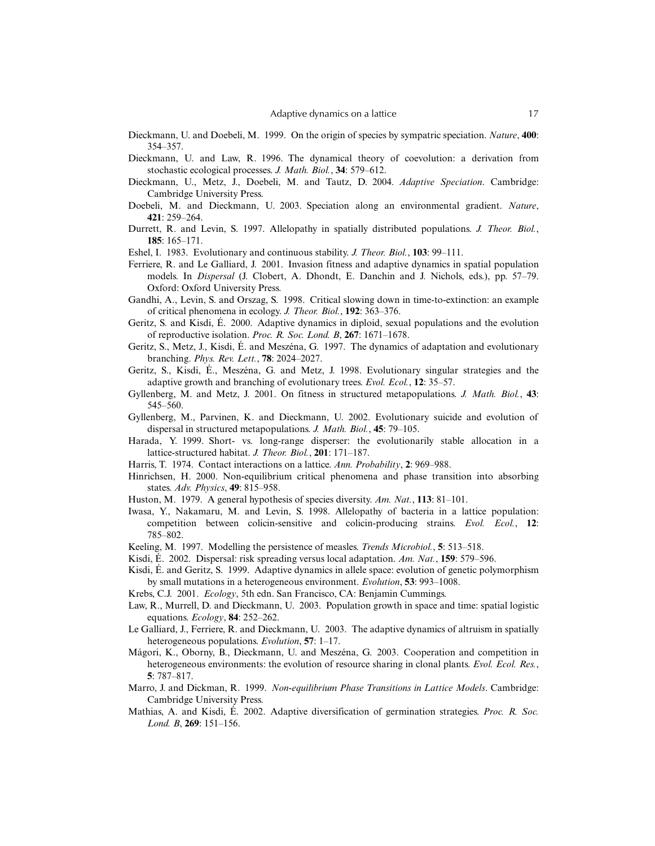- Dieckmann, U. and Doebeli, M. 1999. On the origin of species by sympatric speciation. *Nature*, **400**: 354–357.
- Dieckmann, U. and Law, R. 1996. The dynamical theory of coevolution: a derivation from stochastic ecological processes. *J. Math. Biol.*, **34**: 579–612.
- Dieckmann, U., Metz, J., Doebeli, M. and Tautz, D. 2004. *Adaptive Speciation*. Cambridge: Cambridge University Press.
- Doebeli, M. and Dieckmann, U. 2003. Speciation along an environmental gradient. *Nature*, **421**: 259–264.
- Durrett, R. and Levin, S. 1997. Allelopathy in spatially distributed populations. *J. Theor. Biol.*, **185**: 165–171.
- Eshel, I. 1983. Evolutionary and continuous stability. *J. Theor. Biol.*, **103**: 99–111.
- Ferriere, R. and Le Galliard, J. 2001. Invasion fitness and adaptive dynamics in spatial population models. In *Dispersal* (J. Clobert, A. Dhondt, E. Danchin and J. Nichols, eds.), pp. 57–79. Oxford: Oxford University Press.
- Gandhi, A., Levin, S. and Orszag, S. 1998. Critical slowing down in time-to-extinction: an example of critical phenomena in ecology. *J. Theor. Biol.*, **192**: 363–376.
- Geritz, S. and Kisdi, É. 2000. Adaptive dynamics in diploid, sexual populations and the evolution of reproductive isolation. *Proc. R. Soc. Lond. B*, **267**: 1671–1678.
- Geritz, S., Metz, J., Kisdi, É. and Meszéna, G. 1997. The dynamics of adaptation and evolutionary branching. *Phys. Rev. Lett.*, **78**: 2024–2027.
- Geritz, S., Kisdi, É., Meszéna, G. and Metz, J. 1998. Evolutionary singular strategies and the adaptive growth and branching of evolutionary trees. *Evol. Ecol.*, **12**: 35–57.
- Gyllenberg, M. and Metz, J. 2001. On fitness in structured metapopulations. *J. Math. Biol.*, **43**: 545–560.
- Gyllenberg, M., Parvinen, K. and Dieckmann, U. 2002. Evolutionary suicide and evolution of dispersal in structured metapopulations. *J. Math. Biol.*, **45**: 79–105.
- Harada, Y. 1999. Short- vs. long-range disperser: the evolutionarily stable allocation in a lattice-structured habitat. *J. Theor. Biol.*, **201**: 171–187.
- Harris, T. 1974. Contact interactions on a lattice. *Ann. Probability*, **2**: 969–988.
- Hinrichsen, H. 2000. Non-equilibrium critical phenomena and phase transition into absorbing states. *Adv. Physics*, **49**: 815–958.
- Huston, M. 1979. A general hypothesis of species diversity. *Am. Nat.*, **113**: 81–101.
- Iwasa, Y., Nakamaru, M. and Levin, S. 1998. Allelopathy of bacteria in a lattice population: competition between colicin-sensitive and colicin-producing strains. *Evol. Ecol.*, **12**: 785–802.
- Keeling, M. 1997. Modelling the persistence of measles. *Trends Microbiol.*, **5**: 513–518.
- Kisdi, É. 2002. Dispersal: risk spreading versus local adaptation. *Am. Nat.*, **159**: 579–596.
- Kisdi, É. and Geritz, S. 1999. Adaptive dynamics in allele space: evolution of genetic polymorphism by small mutations in a heterogeneous environment. *Evolution*, **53**: 993–1008.
- Krebs, C.J. 2001. *Ecology*, 5th edn. San Francisco, CA: Benjamin Cummings.
- Law, R., Murrell, D. and Dieckmann, U. 2003. Population growth in space and time: spatial logistic equations. *Ecology*, **84**: 252–262.
- Le Galliard, J., Ferriere, R. and Dieckmann, U. 2003. The adaptive dynamics of altruism in spatially heterogeneous populations. *Evolution*, **57**: 1–17.
- Mágori, K., Oborny, B., Dieckmann, U. and Meszéna, G. 2003. Cooperation and competition in heterogeneous environments: the evolution of resource sharing in clonal plants. *Evol. Ecol. Res.*, **5**: 787–817.
- Marro, J. and Dickman, R. 1999. *Non-equilibrium Phase Transitions in Lattice Models*. Cambridge: Cambridge University Press.
- Mathias, A. and Kisdi, É. 2002. Adaptive diversification of germination strategies. *Proc. R. Soc. Lond. B*, **269**: 151–156.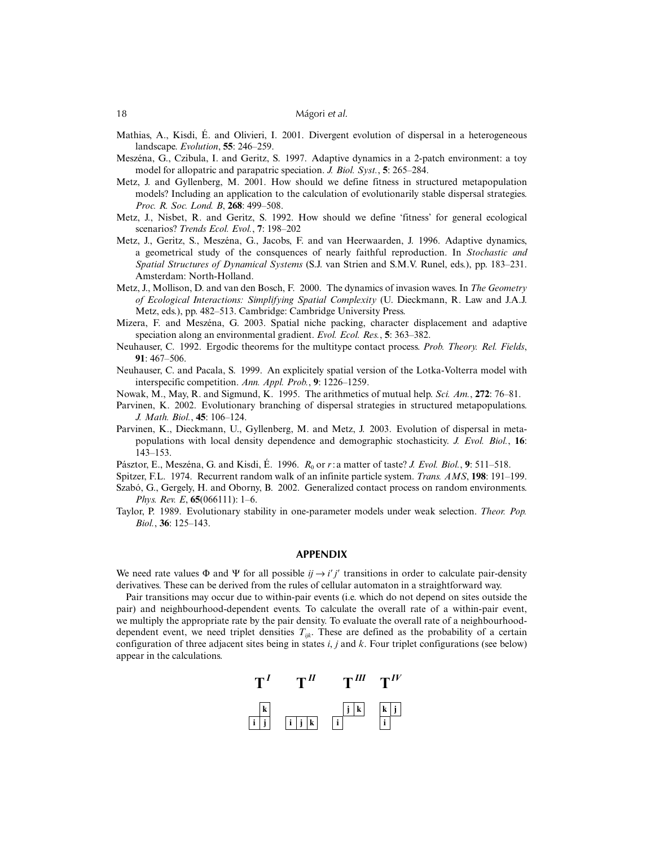- Mathias, A., Kisdi, É. and Olivieri, I. 2001. Divergent evolution of dispersal in a heterogeneous landscape. *Evolution*, **55**: 246–259.
- Meszéna, G., Czibula, I. and Geritz, S. 1997. Adaptive dynamics in a 2-patch environment: a toy model for allopatric and parapatric speciation. *J. Biol. Syst.*, **5**: 265–284.
- Metz, J. and Gyllenberg, M. 2001. How should we define fitness in structured metapopulation models? Including an application to the calculation of evolutionarily stable dispersal strategies. *Proc. R. Soc. Lond. B*, **268**: 499–508.
- Metz, J., Nisbet, R. and Geritz, S. 1992. How should we define 'fitness' for general ecological scenarios? *Trends Ecol. Evol.*, **7**: 198–202
- Metz, J., Geritz, S., Meszéna, G., Jacobs, F. and van Heerwaarden, J. 1996. Adaptive dynamics, a geometrical study of the consquences of nearly faithful reproduction. In *Stochastic and Spatial Structures of Dynamical Systems* (S.J. van Strien and S.M.V. Runel, eds.), pp. 183–231. Amsterdam: North-Holland.
- Metz, J., Mollison, D. and van den Bosch, F. 2000. The dynamics of invasion waves. In *The Geometry of Ecological Interactions: Simplifying Spatial Complexity* (U. Dieckmann, R. Law and J.A.J. Metz, eds.), pp. 482–513. Cambridge: Cambridge University Press.
- Mizera, F. and Meszéna, G. 2003. Spatial niche packing, character displacement and adaptive speciation along an environmental gradient. *Evol. Ecol. Res.*, **5**: 363–382.
- Neuhauser, C. 1992. Ergodic theorems for the multitype contact process. *Prob. Theory. Rel. Fields*, **91**: 467–506.
- Neuhauser, C. and Pacala, S. 1999. An explicitely spatial version of the Lotka-Volterra model with interspecific competition. *Ann. Appl. Prob.*, **9**: 1226–1259.
- Nowak, M., May, R. and Sigmund, K. 1995. The arithmetics of mutual help. *Sci. Am.*, **272**: 76–81.
- Parvinen, K. 2002. Evolutionary branching of dispersal strategies in structured metapopulations. *J. Math. Biol.*, **45**: 106–124.
- Parvinen, K., Dieckmann, U., Gyllenberg, M. and Metz, J. 2003. Evolution of dispersal in metapopulations with local density dependence and demographic stochasticity. *J. Evol. Biol.*, **16**: 143–153.
- Pásztor, E., Meszéna, G. and Kisdi, É. 1996. *R*<sub>0</sub> or *r*: a matter of taste? *J. Evol. Biol.*, 9: 511–518.
- Spitzer, F.L. 1974. Recurrent random walk of an infinite particle system. *Trans. AMS*, **198**: 191–199.
- Szabó, G., Gergely, H. and Oborny, B. 2002. Generalized contact process on random environments. *Phys. Rev. E*, **65**(066111): 1–6.
- Taylor, P. 1989. Evolutionary stability in one-parameter models under weak selection. *Theor. Pop. Biol.*, **36**: 125–143.

# **APPENDIX**

We need rate values  $\Phi$  and  $\Psi$  for all possible  $ij \rightarrow i'j'$  transitions in order to calculate pair-density derivatives. These can be derived from the rules of cellular automaton in a straightforward way.

Pair transitions may occur due to within-pair events (i.e. which do not depend on sites outside the pair) and neighbourhood-dependent events. To calculate the overall rate of a within-pair event, we multiply the appropriate rate by the pair density. To evaluate the overall rate of a neighbourhooddependent event, we need triplet densities  $T_{ijk}$ . These are defined as the probability of a certain configuration of three adjacent sites being in states *i*, *j* and *k*. Four triplet configurations (see below) appear in the calculations.

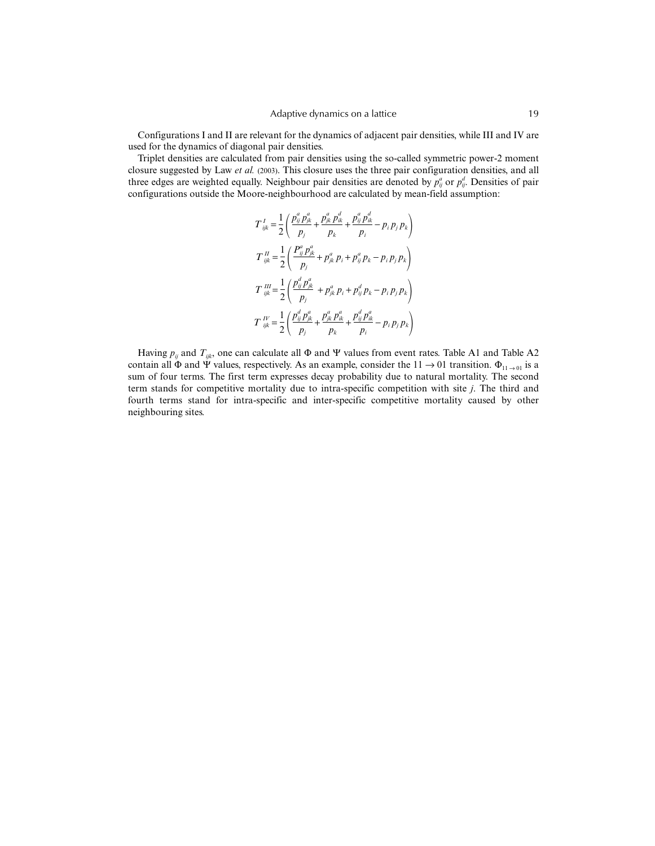Configurations I and II are relevant for the dynamics of adjacent pair densities, while III and IV are used for the dynamics of diagonal pair densities.

Triplet densities are calculated from pair densities using the so-called symmetric power-2 moment closure suggested by Law *et al.* (2003). This closure uses the three pair configuration densities, and all three edges are weighted equally. Neighbour pair densities are denoted by  $p_{ij}^a$  or  $p_{ij}^d$ . Densities of pair configurations outside the Moore-neighbourhood are calculated by mean-field assumption:

$$
T_{ijk}^{I} = \frac{1}{2} \left( \frac{p_{ij}^{a} p_{jk}^{a}}{p_j} + \frac{p_{jk}^{a} p_{ik}^{d}}{p_k} + \frac{p_{ij}^{a} p_{ik}^{d}}{p_i} - p_i p_j p_k \right)
$$
  
\n
$$
T_{ijk}^{II} = \frac{1}{2} \left( \frac{P_{ij}^{a} p_{jk}^{a}}{p_j} + p_{jk}^{a} p_i + p_{ij}^{a} p_k - p_i p_j p_k \right)
$$
  
\n
$$
T_{ijk}^{III} = \frac{1}{2} \left( \frac{p_{ij}^{d} p_{jk}^{a}}{p_j} + p_{jk}^{a} p_i + p_{ij}^{d} p_k - p_i p_j p_k \right)
$$
  
\n
$$
T_{ijk}^{IV} = \frac{1}{2} \left( \frac{p_{ij}^{d} p_{jk}^{a}}{p_j} + \frac{p_{jk}^{a} p_{ik}^{a}}{p_k} + \frac{p_{ij}^{d} p_{ik}^{a}}{p_i} - p_i p_j p_k \right)
$$

Having  $p_{ij}$  and  $T_{ijk}$ , one can calculate all  $\Phi$  and  $\Psi$  values from event rates. Table A1 and Table A2 contain all  $\Phi$  and  $\Psi$  values, respectively. As an example, consider the 11  $\to$  01 transition.  $\Phi_{11\to 01}$  is a sum of four terms. The first term expresses decay probability due to natural mortality. The second term stands for competitive mortality due to intra-specific competition with site *j*. The third and fourth terms stand for intra-specific and inter-specific competitive mortality caused by other neighbouring sites.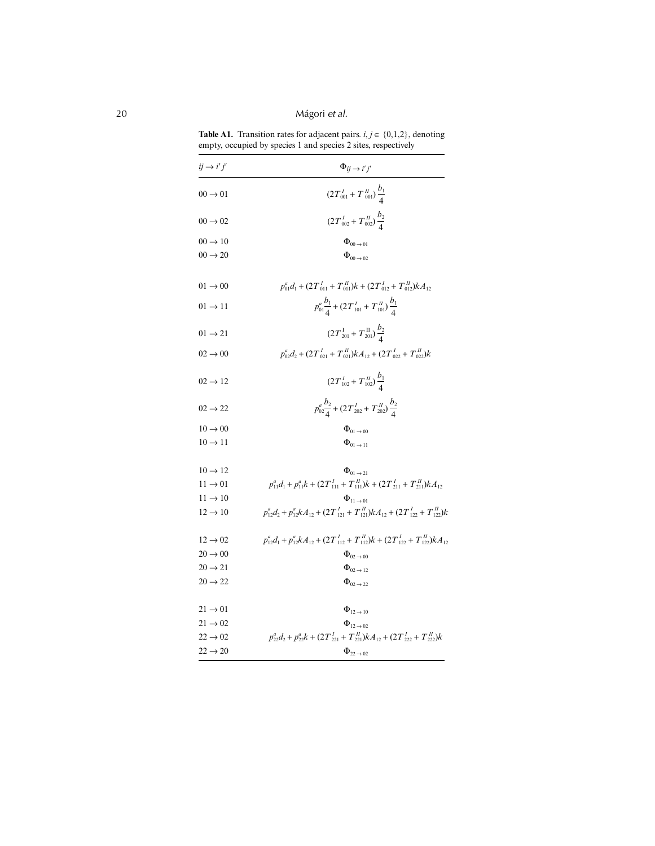**Table A1.** Transition rates for adjacent pairs.  $i, j \in \{0, 1, 2\}$ , denoting empty, occupied by species 1 and species 2 sites, respectively

| $ij \rightarrow i'j'$ | $\Phi_{ij} \rightarrow i'j'$                                                                          |
|-----------------------|-------------------------------------------------------------------------------------------------------|
| $00 \rightarrow 01$   | $(2T_{001}^I + T_{001}^H)\frac{b_1}{4}$                                                               |
| $00 \rightarrow 02$   | $(2T_{002}^I + T_{002}^H)\frac{D_2}{4}$                                                               |
| $00 \rightarrow 10$   | $\Phi$ <sub>00</sub> $\rightarrow$ 01                                                                 |
| $00 \rightarrow 20$   | $\Phi$ <sub>00</sub> $\rightarrow$ 02                                                                 |
| $01 \rightarrow 00$   | $p_{01}^a d_1 + (2T_{011}^I + T_{011}^H)k + (2T_{012}^I + T_{012}^H)kA_{12}$                          |
| $01 \rightarrow 11$   | $p_{01}^a \frac{b_1}{4} + (2 T_{101}^I + T_{101}^H) \frac{b_1}{4}$                                    |
| $01 \rightarrow 21$   | $(2T_{201}^{\text{I}}+T_{201}^{\text{II}})\frac{b_2}{4}$                                              |
| $02 \rightarrow 00$   | $p_{02}^a d_2 + (2T_{021}^I + T_{021}^H) k A_{12} + (2T_{022}^I + T_{022}^H) k$                       |
| $02 \rightarrow 12$   | $(2T_{102}^I + T_{102}^H) \frac{b_1}{4}$                                                              |
| $02 \rightarrow 22$   | $p_{02}^a \frac{b_2}{4} + (2 T_{202}^I + T_{202}^H) \frac{b_2}{4}$                                    |
| $10 \rightarrow 00$   | $\Phi$ <sub>01</sub> $\rightarrow$ 00                                                                 |
| $10 \rightarrow 11$   | $\Phi_{01 \rightarrow 11}$                                                                            |
| $10 \rightarrow 12$   | $\Phi_{01}$ $\ldots$                                                                                  |
| $11 \rightarrow 01$   | $p_{11}^a d_1 + p_{11}^a k + (2T_{111}^I + T_{111}^H)k + (2T_{211}^I + T_{211}^H)kA_{12}$             |
| $11 \rightarrow 10$   | $\Phi_{11\rightarrow 01}$                                                                             |
| $12 \rightarrow 10$   | $p_{12}^a d_2 + p_{12}^a k A_{12} + (2 T_{121}^I + T_{121}^I) k A_{12} + (2 T_{122}^I + T_{122}^I) k$ |
| $12 \rightarrow 02$   | $p_{12}^a d_1 + p_{12}^a k A_{12} + (2T_{112}^I + T_{112}^I) k + (2T_{122}^I + T_{122}^I) k A_{12}$   |
| $20 \rightarrow 00$   | $\Phi_{02\rightarrow 00}$                                                                             |
| $20 \rightarrow 21$   | $\Phi_{02 \rightarrow 12}$                                                                            |
| $20 \rightarrow 22$   | $\Phi_{02\rightarrow 22}$                                                                             |
| $21 \rightarrow 01$   | $\Phi_{12\rightarrow 10}$                                                                             |
| $21 \rightarrow 02$   | $\Phi_{12\rightarrow 02}$                                                                             |
| $22 \rightarrow 02$   | $p_{22}^a d_2 + p_{22}^a k + (2T_{221}^I + T_{221}^H) k A_{12} + (2T_{222}^I + T_{222}^H) k$          |
| $22 \rightarrow 20$   | $\Phi_{22\rightarrow 02}$                                                                             |